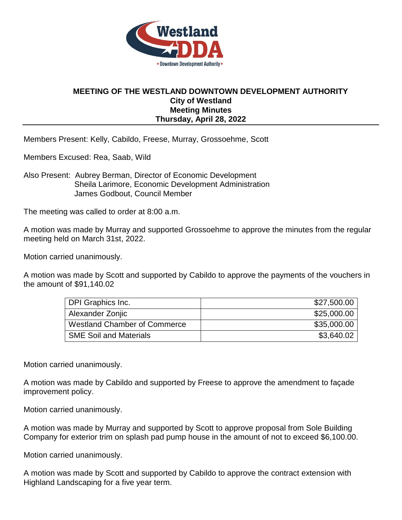

## **MEETING OF THE WESTLAND DOWNTOWN DEVELOPMENT AUTHORITY City of Westland Meeting Minutes Thursday, April 28, 2022**

Members Present: Kelly, Cabildo, Freese, Murray, Grossoehme, Scott

Members Excused: Rea, Saab, Wild

Also Present: Aubrey Berman, Director of Economic Development Sheila Larimore, Economic Development Administration James Godbout, Council Member

The meeting was called to order at 8:00 a.m.

A motion was made by Murray and supported Grossoehme to approve the minutes from the regular meeting held on March 31st, 2022.

Motion carried unanimously.

A motion was made by Scott and supported by Cabildo to approve the payments of the vouchers in the amount of \$91,140.02

| DPI Graphics Inc.                   | \$27,500.00 |
|-------------------------------------|-------------|
| Alexander Zonjic                    | \$25,000.00 |
| <b>Westland Chamber of Commerce</b> | \$35,000.00 |
| <b>SME Soil and Materials</b>       | \$3,640.02  |

Motion carried unanimously.

A motion was made by Cabildo and supported by Freese to approve the amendment to façade improvement policy.

Motion carried unanimously.

A motion was made by Murray and supported by Scott to approve proposal from Sole Building Company for exterior trim on splash pad pump house in the amount of not to exceed \$6,100.00.

Motion carried unanimously.

A motion was made by Scott and supported by Cabildo to approve the contract extension with Highland Landscaping for a five year term.